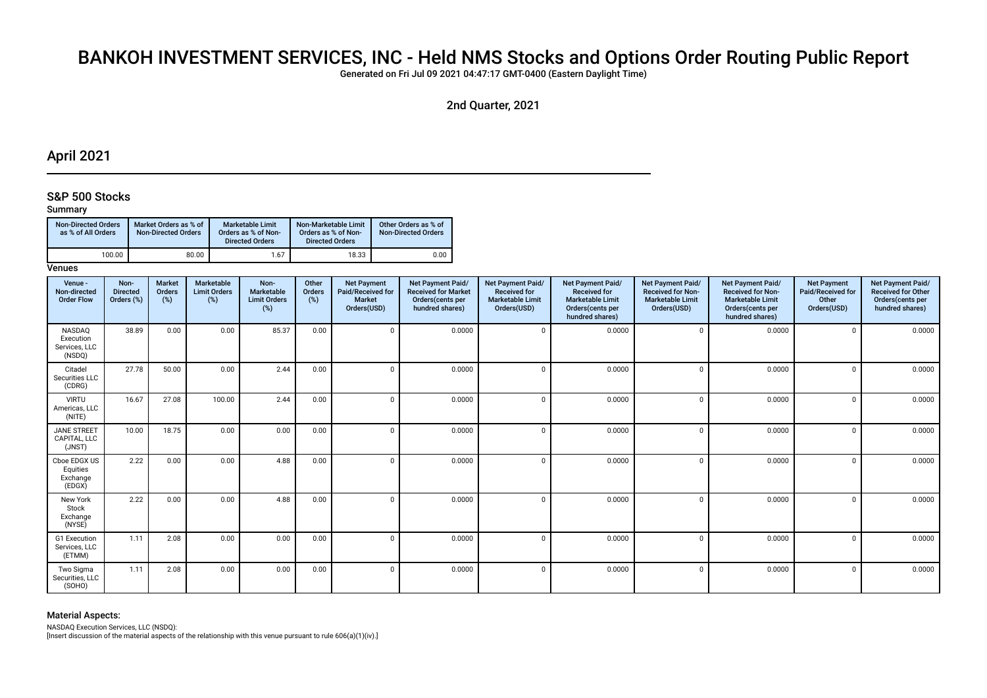# BANKOH INVESTMENT SERVICES, INC - Held NMS Stocks and Options Order Routing Public Report

Generated on Fri Jul 09 2021 04:47:17 GMT-0400 (Eastern Daylight Time)

2nd Quarter, 2021

## April 2021

### S&P 500 Stocks

### Summary

| <b>Non-Directed Orders</b><br>as % of All Orders | Market Orders as % of<br><b>Non-Directed Orders</b> | Marketable Limit<br>Orders as % of Non-<br><b>Directed Orders</b> | Non-Marketable Limit<br>Orders as % of Non-<br><b>Directed Orders</b> | Other Orders as % of<br><b>Non-Directed Orders</b> |
|--------------------------------------------------|-----------------------------------------------------|-------------------------------------------------------------------|-----------------------------------------------------------------------|----------------------------------------------------|
| 100.00                                           | 80.00                                               | 1.67                                                              | 18.33                                                                 | 0.00                                               |

### **Venues**

| Venue -<br>Non-directed<br><b>Order Flow</b>   | Non-<br><b>Directed</b><br>Orders (%) | <b>Market</b><br>Orders<br>(%) | Marketable<br><b>Limit Orders</b><br>(%) | Non-<br>Marketable<br><b>Limit Orders</b><br>$(\%)$ | Other<br>Orders<br>$(\%)$ | <b>Net Payment</b><br>Paid/Received for<br>Market<br>Orders(USD) | Net Payment Paid/<br><b>Received for Market</b><br>Orders(cents per<br>hundred shares) | Net Payment Paid/<br><b>Received for</b><br><b>Marketable Limit</b><br>Orders(USD) | <b>Net Payment Paid/</b><br><b>Received for</b><br><b>Marketable Limit</b><br>Orders(cents per<br>hundred shares) | Net Payment Paid/<br><b>Received for Non-</b><br><b>Marketable Limit</b><br>Orders(USD) | Net Payment Paid/<br><b>Received for Non-</b><br><b>Marketable Limit</b><br>Orders(cents per<br>hundred shares) | <b>Net Payment</b><br>Paid/Received for<br>Other<br>Orders(USD) | Net Payment Paid/<br><b>Received for Other</b><br>Orders(cents per<br>hundred shares) |
|------------------------------------------------|---------------------------------------|--------------------------------|------------------------------------------|-----------------------------------------------------|---------------------------|------------------------------------------------------------------|----------------------------------------------------------------------------------------|------------------------------------------------------------------------------------|-------------------------------------------------------------------------------------------------------------------|-----------------------------------------------------------------------------------------|-----------------------------------------------------------------------------------------------------------------|-----------------------------------------------------------------|---------------------------------------------------------------------------------------|
| NASDAQ<br>Execution<br>Services, LLC<br>(NSDQ) | 38.89                                 | 0.00                           | 0.00                                     | 85.37                                               | 0.00                      |                                                                  | 0.0000                                                                                 | $\Omega$                                                                           | 0.0000                                                                                                            | $\Omega$                                                                                | 0.0000                                                                                                          | $\mathbf 0$                                                     | 0.0000                                                                                |
| Citadel<br>Securities LLC<br>(CDRG)            | 27.78                                 | 50.00                          | 0.00                                     | 2.44                                                | 0.00                      |                                                                  | 0.0000                                                                                 | $\Omega$                                                                           | 0.0000                                                                                                            |                                                                                         | 0.0000                                                                                                          | $\mathbf 0$                                                     | 0.0000                                                                                |
| <b>VIRTU</b><br>Americas, LLC<br>(NITE)        | 16.67                                 | 27.08                          | 100.00                                   | 2.44                                                | 0.00                      |                                                                  | 0.0000                                                                                 | $\Omega$                                                                           | 0.0000                                                                                                            | $\Omega$                                                                                | 0.0000                                                                                                          | $\mathbf 0$                                                     | 0.0000                                                                                |
| <b>JANE STREET</b><br>CAPITAL, LLC<br>(JNST)   | 10.00                                 | 18.75                          | 0.00                                     | 0.00                                                | 0.00                      |                                                                  | 0.0000                                                                                 | $\Omega$                                                                           | 0.0000                                                                                                            | $\mathsf{C}$                                                                            | 0.0000                                                                                                          | $\mathbf 0$                                                     | 0.0000                                                                                |
| Cboe EDGX US<br>Equities<br>Exchange<br>(EDGX) | 2.22                                  | 0.00                           | 0.00                                     | 4.88                                                | 0.00                      | $\Omega$                                                         | 0.0000                                                                                 | $\Omega$                                                                           | 0.0000                                                                                                            | $\Omega$                                                                                | 0.0000                                                                                                          | $\mathbf 0$                                                     | 0.0000                                                                                |
| New York<br>Stock<br>Exchange<br>(NYSE)        | 2.22                                  | 0.00                           | 0.00                                     | 4.88                                                | 0.00                      |                                                                  | 0.0000                                                                                 | $\Omega$                                                                           | 0.0000                                                                                                            | $\mathsf{C}$                                                                            | 0.0000                                                                                                          | $\mathbf 0$                                                     | 0.0000                                                                                |
| G1 Execution<br>Services, LLC<br>(ETMM)        | 1.11                                  | 2.08                           | 0.00                                     | 0.00                                                | 0.00                      |                                                                  | 0.0000                                                                                 | $\Omega$                                                                           | 0.0000                                                                                                            | C                                                                                       | 0.0000                                                                                                          | $\mathbf 0$                                                     | 0.0000                                                                                |
| Two Sigma<br>Securities, LLC<br>(SOHO)         | 1.11                                  | 2.08                           | 0.00                                     | 0.00                                                | 0.00                      | 0                                                                | 0.0000                                                                                 | $\Omega$                                                                           | 0.0000                                                                                                            | $\Omega$                                                                                | 0.0000                                                                                                          | $\mathbf 0$                                                     | 0.0000                                                                                |

### Material Aspects:

NASDAQ Execution Services, LLC (NSDQ):

[Insert discussion of the material aspects of the relationship with this venue pursuant to rule 606(a)(1)(iv).]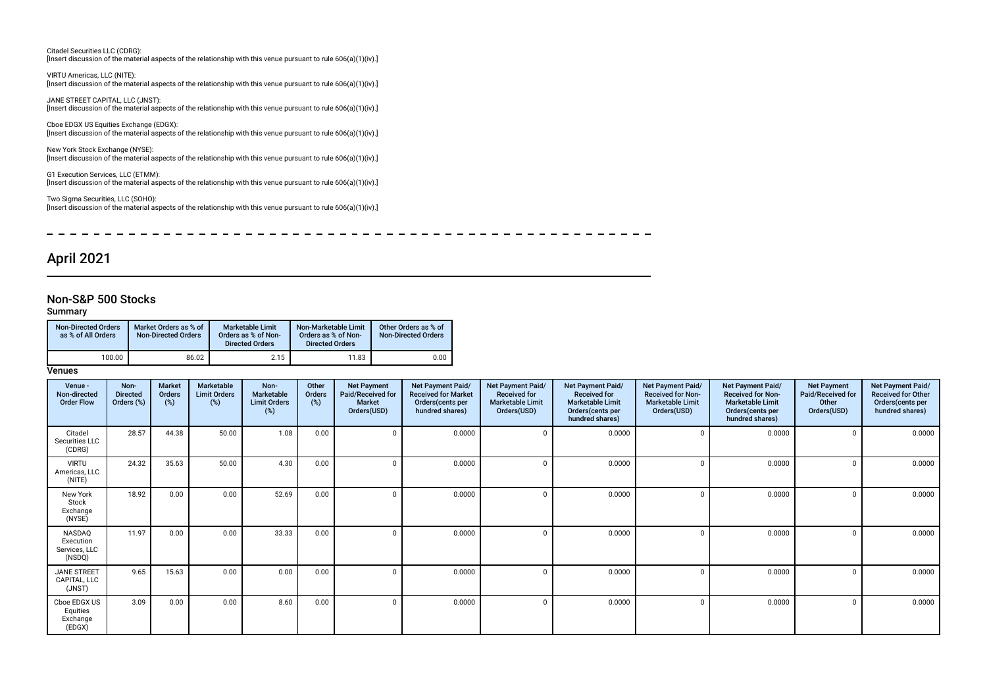Citadel Securities LLC (CDRG): [Insert discussion of the material aspects of the relationship with this venue pursuant to rule 606(a)(1)(iv).]

VIRTU Americas, LLC (NITE): [Insert discussion of the material aspects of the relationship with this venue pursuant to rule 606(a)(1)(iv).]

JANE STREET CAPITAL, LLC (JNST): [Insert discussion of the material aspects of the relationship with this venue pursuant to rule 606(a)(1)(iv).]

Cboe EDGX US Equities Exchange (EDGX): [Insert discussion of the material aspects of the relationship with this venue pursuant to rule 606(a)(1)(iv).]

New York Stock Exchange (NYSE): [Insert discussion of the material aspects of the relationship with this venue pursuant to rule 606(a)(1)(iv).]

G1 Execution Services, LLC (ETMM): [Insert discussion of the material aspects of the relationship with this venue pursuant to rule 606(a)(1)(iv).]

Two Sigma Securities, LLC (SOHO): [Insert discussion of the material aspects of the relationship with this venue pursuant to rule 606(a)(1)(iv).]

\_ \_ \_ \_ \_ \_ \_ \_ \_ \_ \_ \_ \_  $\frac{1}{2}$  $\overline{\phantom{0}}$  $-$ 

# April 2021

### Non-S&P 500 Stocks

### Summary

| <b>Non-Directed Orders</b><br>as % of All Orders | Market Orders as % of<br><b>Non-Directed Orders</b> | Marketable Limit<br>Orders as % of Non-<br><b>Directed Orders</b> | Non-Marketable Limit<br>Orders as % of Non-<br><b>Directed Orders</b> | Other Orders as % of<br><b>Non-Directed Orders</b> |
|--------------------------------------------------|-----------------------------------------------------|-------------------------------------------------------------------|-----------------------------------------------------------------------|----------------------------------------------------|
| 100.00                                           | 86.02                                               | 2.15                                                              | 11.83                                                                 | 0.00                                               |

### **Venues**

| Venue -<br>Non-directed<br><b>Order Flow</b>   | Non-<br><b>Directed</b><br>Orders (%) | Market<br>Orders<br>(%) | Marketable<br><b>Limit Orders</b><br>$(\%)$ | Non-<br>Marketable<br><b>Limit Orders</b><br>(%) | Other<br>Orders<br>(%) | <b>Net Payment</b><br>Paid/Received for<br><b>Market</b><br>Orders(USD) | Net Payment Paid/<br><b>Received for Market</b><br>Orders (cents per<br>hundred shares) | Net Payment Paid/<br><b>Received for</b><br><b>Marketable Limit</b><br>Orders(USD) | Net Payment Paid/<br><b>Received for</b><br><b>Marketable Limit</b><br>Orders (cents per<br>hundred shares) | <b>Net Payment Paid/</b><br><b>Received for Non-</b><br><b>Marketable Limit</b><br>Orders(USD) | Net Payment Paid/<br><b>Received for Non-</b><br><b>Marketable Limit</b><br>Orders(cents per<br>hundred shares) | <b>Net Payment</b><br>Paid/Received for<br>Other<br>Orders(USD) | Net Payment Paid/<br><b>Received for Other</b><br>Orders(cents per<br>hundred shares) |
|------------------------------------------------|---------------------------------------|-------------------------|---------------------------------------------|--------------------------------------------------|------------------------|-------------------------------------------------------------------------|-----------------------------------------------------------------------------------------|------------------------------------------------------------------------------------|-------------------------------------------------------------------------------------------------------------|------------------------------------------------------------------------------------------------|-----------------------------------------------------------------------------------------------------------------|-----------------------------------------------------------------|---------------------------------------------------------------------------------------|
| Citadel<br>Securities LLC<br>(CDRG)            | 28.57                                 | 44.38                   | 50.00                                       | 1.08                                             | 0.00                   | $\Omega$                                                                | 0.0000                                                                                  |                                                                                    | 0.0000                                                                                                      |                                                                                                | 0.0000                                                                                                          | $^{\circ}$                                                      | 0.0000                                                                                |
| <b>VIRTU</b><br>Americas, LLC<br>(NITE)        | 24.32                                 | 35.63                   | 50.00                                       | 4.30                                             | 0.00                   | $\Omega$                                                                | 0.0000                                                                                  |                                                                                    | 0.0000                                                                                                      |                                                                                                | 0.0000                                                                                                          | $\Omega$                                                        | 0.0000                                                                                |
| New York<br>Stock<br>Exchange<br>(NYSE)        | 18.92                                 | 0.00                    | 0.00                                        | 52.69                                            | 0.00                   | $\Omega$                                                                | 0.0000                                                                                  |                                                                                    | 0.0000                                                                                                      |                                                                                                | 0.0000                                                                                                          | $\mathbf{0}$                                                    | 0.0000                                                                                |
| NASDAQ<br>Execution<br>Services, LLC<br>(NSDQ) | 11.97                                 | 0.00                    | 0.00                                        | 33.33                                            | 0.00                   | $\Omega$                                                                | 0.0000                                                                                  |                                                                                    | 0.0000                                                                                                      |                                                                                                | 0.0000                                                                                                          | $\Omega$                                                        | 0.0000                                                                                |
| <b>JANE STREET</b><br>CAPITAL, LLC<br>(JNST)   | 9.65                                  | 15.63                   | 0.00                                        | 0.00                                             | 0.00                   | $\Omega$                                                                | 0.0000                                                                                  | n                                                                                  | 0.0000                                                                                                      | $\Omega$                                                                                       | 0.0000                                                                                                          | $\Omega$                                                        | 0.0000                                                                                |
| Cboe EDGX US<br>Equities<br>Exchange<br>(EDGX) | 3.09                                  | 0.00                    | 0.00                                        | 8.60                                             | 0.00                   | $\Omega$                                                                | 0.0000                                                                                  |                                                                                    | 0.0000                                                                                                      | $\Omega$                                                                                       | 0.0000                                                                                                          | $\Omega$                                                        | 0.0000                                                                                |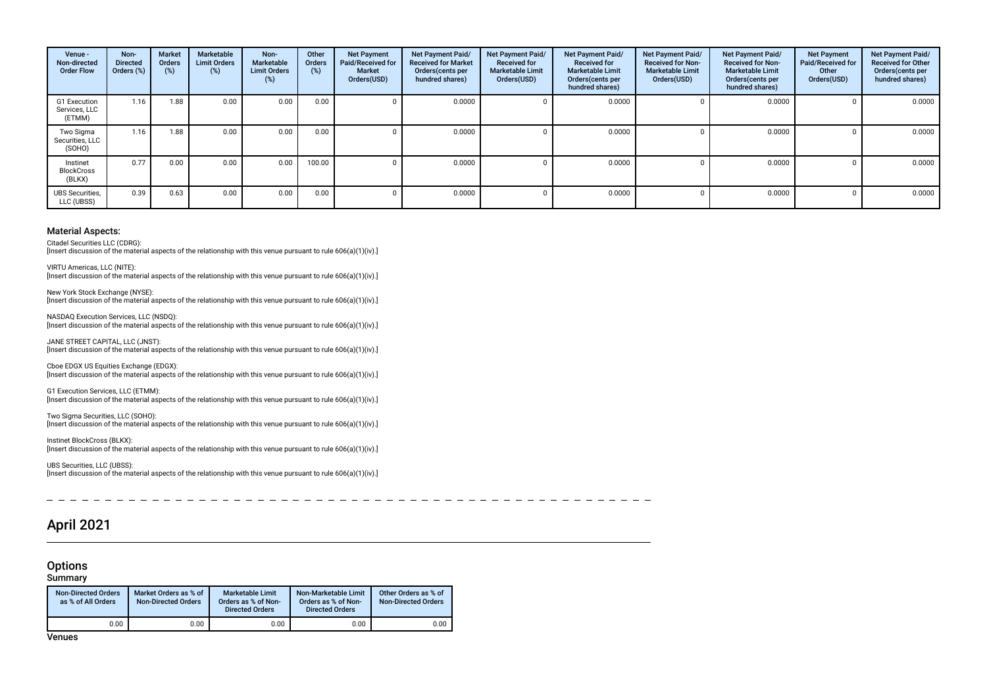| Venue -<br>Non-directed<br><b>Order Flow</b> | Non-<br><b>Directed</b><br>Orders (%) | <b>Market</b><br><b>Orders</b><br>(%) | Marketable<br><b>Limit Orders</b><br>(%) | Non-<br><b>Marketable</b><br><b>Limit Orders</b><br>(%) | Other<br><b>Orders</b><br>(%) | <b>Net Payment</b><br>Paid/Received for<br>Market<br>Orders(USD) | Net Payment Paid/<br><b>Received for Market</b><br>Orders (cents per<br>hundred shares) | Net Payment Paid/<br><b>Received for</b><br><b>Marketable Limit</b><br>Orders(USD) | Net Payment Paid/<br><b>Received for</b><br><b>Marketable Limit</b><br>Orders (cents per<br>hundred shares) | Net Payment Paid/<br><b>Received for Non-</b><br><b>Marketable Limit</b><br>Orders(USD) | Net Payment Paid/<br><b>Received for Non-</b><br><b>Marketable Limit</b><br>Orders(cents per<br>hundred shares) | <b>Net Payment</b><br>Paid/Received for<br>Other<br>Orders(USD) | <b>Net Payment Paid/</b><br><b>Received for Other</b><br>Orders(cents per<br>hundred shares) |
|----------------------------------------------|---------------------------------------|---------------------------------------|------------------------------------------|---------------------------------------------------------|-------------------------------|------------------------------------------------------------------|-----------------------------------------------------------------------------------------|------------------------------------------------------------------------------------|-------------------------------------------------------------------------------------------------------------|-----------------------------------------------------------------------------------------|-----------------------------------------------------------------------------------------------------------------|-----------------------------------------------------------------|----------------------------------------------------------------------------------------------|
| G1 Execution<br>Services, LLC<br>(ETMM)      | 1.16                                  | 1.88                                  | 0.00                                     | 0.00                                                    | 0.00                          |                                                                  | 0.0000                                                                                  |                                                                                    | 0.0000                                                                                                      | 0                                                                                       | 0.0000                                                                                                          |                                                                 | 0.0000                                                                                       |
| Two Sigma<br>Securities, LLC<br>(SOHO)       | 1.16                                  | 1.88                                  | 0.00                                     | 0.00                                                    | 0.00                          |                                                                  | 0.0000                                                                                  |                                                                                    | 0.0000                                                                                                      |                                                                                         | 0.0000                                                                                                          |                                                                 | 0.0000                                                                                       |
| Instinet<br><b>BlockCross</b><br>(BLKX)      | 0.77                                  | 0.00                                  | 0.00                                     | 0.00                                                    | 100.00                        |                                                                  | 0.0000                                                                                  |                                                                                    | 0.0000                                                                                                      | 0                                                                                       | 0.0000                                                                                                          |                                                                 | 0.0000                                                                                       |
| <b>UBS</b> Securities,<br>LLC (UBSS)         | 0.39                                  | 0.63                                  | 0.00                                     | 0.00                                                    | 0.00                          |                                                                  | 0.0000                                                                                  |                                                                                    | 0.0000                                                                                                      | $\Omega$                                                                                | 0.0000                                                                                                          |                                                                 | 0.0000                                                                                       |

#### Material Aspects:

Citadel Securities LLC (CDRG):

[Insert discussion of the material aspects of the relationship with this venue pursuant to rule 606(a)(1)(iv).]

VIRTU Americas, LLC (NITE): [Insert discussion of the material aspects of the relationship with this venue pursuant to rule 606(a)(1)(iv).]

New York Stock Exchange (NYSE): [Insert discussion of the material aspects of the relationship with this venue pursuant to rule 606(a)(1)(iv).]

NASDAQ Execution Services, LLC (NSDQ): [Insert discussion of the material aspects of the relationship with this venue pursuant to rule 606(a)(1)(iv).]

JANE STREET CAPITAL, LLC (JNST): [Insert discussion of the material aspects of the relationship with this venue pursuant to rule 606(a)(1)(iv).]

Cboe EDGX US Equities Exchange (EDGX): [Insert discussion of the material aspects of the relationship with this venue pursuant to rule 606(a)(1)(iv).]

G1 Execution Services, LLC (ETMM): [Insert discussion of the material aspects of the relationship with this venue pursuant to rule 606(a)(1)(iv).]

Two Sigma Securities, LLC (SOHO): [Insert discussion of the material aspects of the relationship with this venue pursuant to rule 606(a)(1)(iv).]

Instinet BlockCross (BLKX): [Insert discussion of the material aspects of the relationship with this venue pursuant to rule 606(a)(1)(iv).]

UBS Securities, LLC (UBSS): [Insert discussion of the material aspects of the relationship with this venue pursuant to rule 606(a)(1)(iv).]

# April 2021

# **Options**

### **Summary**

| <b>Non-Directed Orders</b><br>as % of All Orders | Market Orders as % of<br><b>Non-Directed Orders</b> | Marketable Limit<br>Orders as % of Non-<br><b>Directed Orders</b> | Non-Marketable Limit<br>Orders as % of Non-<br><b>Directed Orders</b> | Other Orders as % of<br>Non-Directed Orders |
|--------------------------------------------------|-----------------------------------------------------|-------------------------------------------------------------------|-----------------------------------------------------------------------|---------------------------------------------|
| 0.00                                             | 0.00                                                | 0.00                                                              | 0.00                                                                  | 0.00                                        |

Venues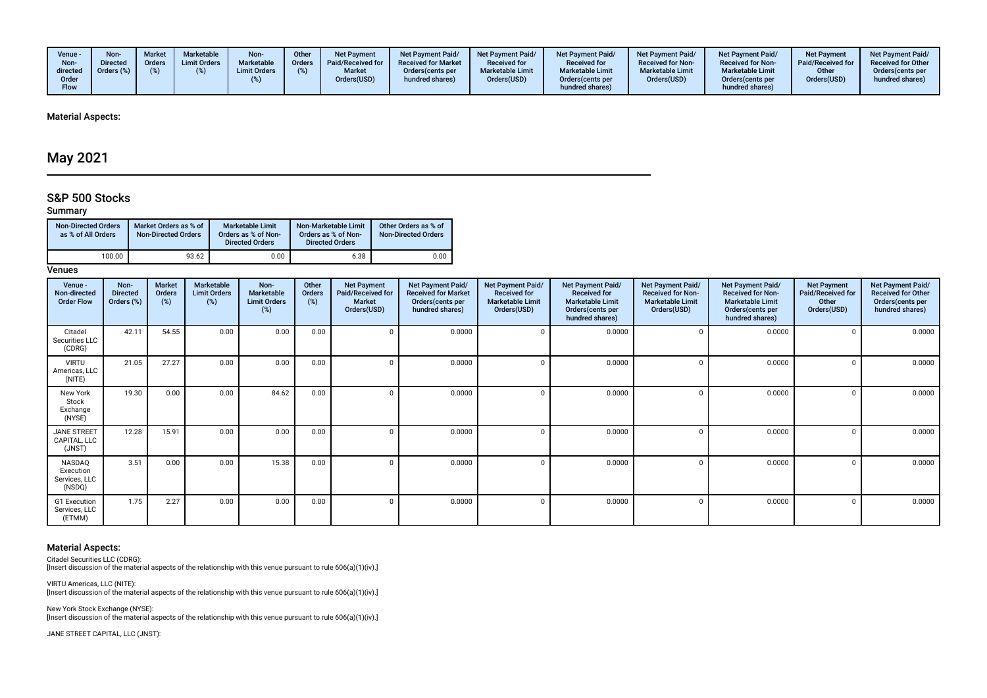| Venue -<br>Non-<br>directed<br>Order<br>Flow | <b>Non</b><br>)irected<br>Jrders (%) | <b>Market</b><br><b>Orders</b> | <b>Marketable</b><br><b>Limit Orders</b> | Non-<br>Marketable<br><b>Limit Orders</b> | <b>Other</b><br><b>Orders</b> | <b>Net Payment</b><br>Paid/Received for<br><b>Market</b><br>Orders(USD) | <b>Net Payment Paid/</b><br><b>Received for Market</b><br>Orders (cents per<br>hundred shares) | <b>Net Payment Paid/</b><br><b>Received for</b><br><b>Marketable Limit</b><br>Orders(USD) | <b>Net Payment Paid/</b><br><b>Received for</b><br><b>Marketable Limit</b><br>Orders (cents per<br>hundred shares) | Net Payment Paid/<br><b>Received for Non-</b><br><b>Marketable Limit</b><br>Orders(USD) | <b>Net Payment Paid/</b><br><b>Received for Non-</b><br><b>Marketable Limit</b><br>Orders(cents per<br>hundred shares) | <b>Net Payment</b><br>Paid/Received for<br>Other<br>Orders(USD) | <b>Net Payment Paid/</b><br><b>Received for Other</b><br>Orders(cents per<br>hundred shares) |
|----------------------------------------------|--------------------------------------|--------------------------------|------------------------------------------|-------------------------------------------|-------------------------------|-------------------------------------------------------------------------|------------------------------------------------------------------------------------------------|-------------------------------------------------------------------------------------------|--------------------------------------------------------------------------------------------------------------------|-----------------------------------------------------------------------------------------|------------------------------------------------------------------------------------------------------------------------|-----------------------------------------------------------------|----------------------------------------------------------------------------------------------|
|----------------------------------------------|--------------------------------------|--------------------------------|------------------------------------------|-------------------------------------------|-------------------------------|-------------------------------------------------------------------------|------------------------------------------------------------------------------------------------|-------------------------------------------------------------------------------------------|--------------------------------------------------------------------------------------------------------------------|-----------------------------------------------------------------------------------------|------------------------------------------------------------------------------------------------------------------------|-----------------------------------------------------------------|----------------------------------------------------------------------------------------------|

Material Aspects:

# May 2021

## S&P 500 Stocks

### Summary

| <b>Non-Directed Orders</b><br>as % of All Orders | Market Orders as % of<br><b>Non-Directed Orders</b> | Marketable Limit<br>Orders as % of Non-<br><b>Directed Orders</b> | Non-Marketable Limit<br>Orders as % of Non-<br><b>Directed Orders</b> | Other Orders as % of<br><b>Non-Directed Orders</b> |
|--------------------------------------------------|-----------------------------------------------------|-------------------------------------------------------------------|-----------------------------------------------------------------------|----------------------------------------------------|
| 100.00                                           | 93.62                                               | 0.00                                                              | 6.38                                                                  | 0.00                                               |

### **Venues**

| Venue -<br>Non-directed<br><b>Order Flow</b>   | Non-<br><b>Directed</b><br>Orders (%) | <b>Market</b><br>Orders<br>(%) | Marketable<br><b>Limit Orders</b><br>(%) | Non-<br>Marketable<br><b>Limit Orders</b><br>(%) | Other<br>Orders<br>(%) | <b>Net Payment</b><br>Paid/Received for<br><b>Market</b><br>Orders(USD) | Net Payment Paid/<br><b>Received for Market</b><br>Orders (cents per<br>hundred shares) | <b>Net Payment Paid/</b><br><b>Received for</b><br><b>Marketable Limit</b><br>Orders(USD) | <b>Net Payment Paid/</b><br><b>Received for</b><br><b>Marketable Limit</b><br>Orders(cents per<br>hundred shares) | Net Payment Paid/<br><b>Received for Non-</b><br><b>Marketable Limit</b><br>Orders(USD) | Net Payment Paid/<br><b>Received for Non-</b><br><b>Marketable Limit</b><br>Orders(cents per<br>hundred shares) | <b>Net Payment</b><br>Paid/Received for<br>Other<br>Orders(USD) | Net Payment Paid/<br><b>Received for Other</b><br>Orders(cents per<br>hundred shares) |
|------------------------------------------------|---------------------------------------|--------------------------------|------------------------------------------|--------------------------------------------------|------------------------|-------------------------------------------------------------------------|-----------------------------------------------------------------------------------------|-------------------------------------------------------------------------------------------|-------------------------------------------------------------------------------------------------------------------|-----------------------------------------------------------------------------------------|-----------------------------------------------------------------------------------------------------------------|-----------------------------------------------------------------|---------------------------------------------------------------------------------------|
| Citadel<br>Securities LLC<br>(CDRG)            | 42.11                                 | 54.55                          | 0.00                                     | 0.00                                             | 0.00                   |                                                                         | 0.0000                                                                                  | $\Omega$                                                                                  | 0.0000                                                                                                            |                                                                                         | 0.0000                                                                                                          |                                                                 | 0.0000                                                                                |
| <b>VIRTU</b><br>Americas, LLC<br>(NITE)        | 21.05                                 | 27.27                          | 0.00                                     | 0.00                                             | 0.00                   |                                                                         | 0.0000                                                                                  | $\Omega$                                                                                  | 0.0000                                                                                                            |                                                                                         | 0.0000                                                                                                          |                                                                 | 0.0000                                                                                |
| New York<br>Stock<br>Exchange<br>(NYSE)        | 19.30                                 | 0.00                           | 0.00                                     | 84.62                                            | 0.00                   |                                                                         | 0.0000                                                                                  | $\Omega$                                                                                  | 0.0000                                                                                                            |                                                                                         | 0.0000                                                                                                          |                                                                 | 0.0000                                                                                |
| <b>JANE STREET</b><br>CAPITAL, LLC<br>(JNST)   | 12.28                                 | 15.91                          | 0.00                                     | 0.00                                             | 0.00                   |                                                                         | 0.0000                                                                                  | $\Omega$                                                                                  | 0.0000                                                                                                            |                                                                                         | 0.0000                                                                                                          |                                                                 | 0.0000                                                                                |
| NASDAQ<br>Execution<br>Services, LLC<br>(NSDQ) | 3.51                                  | 0.00                           | 0.00                                     | 15.38                                            | 0.00                   |                                                                         | 0.0000                                                                                  | $\Omega$                                                                                  | 0.0000                                                                                                            |                                                                                         | 0.0000                                                                                                          |                                                                 | 0.0000                                                                                |
| G1 Execution<br>Services, LLC<br>(ETMM)        | 1.75                                  | 2.27                           | 0.00                                     | 0.00                                             | 0.00                   |                                                                         | 0.0000                                                                                  | $\Omega$                                                                                  | 0.0000                                                                                                            | -0                                                                                      | 0.0000                                                                                                          |                                                                 | 0.0000                                                                                |

### Material Aspects:

Citadel Securities LLC (CDRG): [Insert discussion of the material aspects of the relationship with this venue pursuant to rule 606(a)(1)(iv).]

VIRTU Americas, LLC (NITE): [Insert discussion of the material aspects of the relationship with this venue pursuant to rule 606(a)(1)(iv).]

New York Stock Exchange (NYSE): [Insert discussion of the material aspects of the relationship with this venue pursuant to rule 606(a)(1)(iv).]

JANE STREET CAPITAL, LLC (JNST):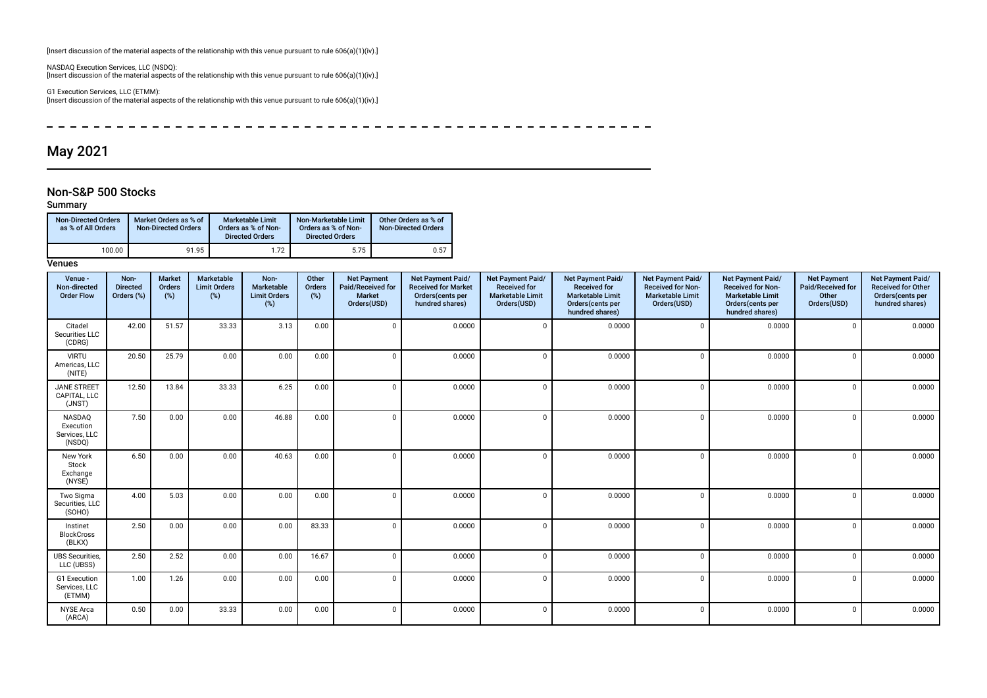[Insert discussion of the material aspects of the relationship with this venue pursuant to rule 606(a)(1)(iv).]

NASDAQ Execution Services, LLC (NSDQ): [Insert discussion of the material aspects of the relationship with this venue pursuant to rule 606(a)(1)(iv).]

G1 Execution Services, LLC (ETMM): [Insert discussion of the material aspects of the relationship with this venue pursuant to rule 606(a)(1)(iv).]

 $\equiv$ \_\_\_\_\_\_\_\_\_\_\_\_\_\_\_\_\_\_\_\_\_\_\_\_  $- - - - - - - - - - - \overline{\phantom{0}}$  $\sim$   $\overline{\phantom{0}}$ 

## May 2021

### Non-S&P 500 Stocks

### Summary

| <b>Non-Directed Orders</b><br>as % of All Orders | Market Orders as % of<br><b>Non-Directed Orders</b> | Marketable Limit<br>Orders as % of Non-<br><b>Directed Orders</b> | Non-Marketable Limit<br>Orders as % of Non-<br><b>Directed Orders</b> | Other Orders as % of<br><b>Non-Directed Orders</b> |
|--------------------------------------------------|-----------------------------------------------------|-------------------------------------------------------------------|-----------------------------------------------------------------------|----------------------------------------------------|
| 100.00                                           | 91.95                                               | 1.72                                                              | 5.75                                                                  | 0.57                                               |

#### **Venues**

| Venue -<br>Non-directed<br><b>Order Flow</b>   | Non-<br><b>Directed</b><br>Orders (%) | Market<br>Orders<br>$(\%)$ | <b>Marketable</b><br><b>Limit Orders</b><br>$(\%)$ | Non-<br>Marketable<br><b>Limit Orders</b><br>$(\%)$ | Other<br>Orders<br>(%) | <b>Net Payment</b><br>Paid/Received for<br>Market<br>Orders(USD) | <b>Net Payment Paid/</b><br><b>Received for Market</b><br>Orders(cents per<br>hundred shares) | Net Payment Paid/<br><b>Received for</b><br><b>Marketable Limit</b><br>Orders(USD) | Net Payment Paid/<br><b>Received for</b><br><b>Marketable Limit</b><br>Orders(cents per<br>hundred shares) | Net Payment Paid/<br><b>Received for Non-</b><br><b>Marketable Limit</b><br>Orders(USD) | Net Payment Paid/<br><b>Received for Non-</b><br><b>Marketable Limit</b><br>Orders(cents per<br>hundred shares) | <b>Net Payment</b><br>Paid/Received for<br>Other<br>Orders(USD) | Net Payment Paid/<br><b>Received for Other</b><br>Orders(cents per<br>hundred shares) |
|------------------------------------------------|---------------------------------------|----------------------------|----------------------------------------------------|-----------------------------------------------------|------------------------|------------------------------------------------------------------|-----------------------------------------------------------------------------------------------|------------------------------------------------------------------------------------|------------------------------------------------------------------------------------------------------------|-----------------------------------------------------------------------------------------|-----------------------------------------------------------------------------------------------------------------|-----------------------------------------------------------------|---------------------------------------------------------------------------------------|
| Citadel<br>Securities LLC<br>(CDRG)            | 42.00                                 | 51.57                      | 33.33                                              | 3.13                                                | 0.00                   | 0                                                                | 0.0000                                                                                        | $\Omega$                                                                           | 0.0000                                                                                                     | $\Omega$                                                                                | 0.0000                                                                                                          | $\Omega$                                                        | 0.0000                                                                                |
| <b>VIRTU</b><br>Americas, LLC<br>(NITE)        | 20.50                                 | 25.79                      | 0.00                                               | 0.00                                                | 0.00                   | $\mathbf 0$                                                      | 0.0000                                                                                        | $\Omega$                                                                           | 0.0000                                                                                                     | $\Omega$                                                                                | 0.0000                                                                                                          | $\mathbf 0$                                                     | 0.0000                                                                                |
| <b>JANE STREET</b><br>CAPITAL, LLC<br>(JNST)   | 12.50                                 | 13.84                      | 33.33                                              | 6.25                                                | 0.00                   | $\mathbf 0$                                                      | 0.0000                                                                                        | $\Omega$                                                                           | 0.0000                                                                                                     | $\Omega$                                                                                | 0.0000                                                                                                          | $\Omega$                                                        | 0.0000                                                                                |
| NASDAQ<br>Execution<br>Services, LLC<br>(NSDQ) | 7.50                                  | 0.00                       | 0.00                                               | 46.88                                               | 0.00                   | $\mathbf 0$                                                      | 0.0000                                                                                        | $\Omega$                                                                           | 0.0000                                                                                                     | $\Omega$                                                                                | 0.0000                                                                                                          | $\Omega$                                                        | 0.0000                                                                                |
| New York<br>Stock<br>Exchange<br>(NYSE)        | 6.50                                  | 0.00                       | 0.00                                               | 40.63                                               | 0.00                   | $\Omega$                                                         | 0.0000                                                                                        | $\Omega$                                                                           | 0.0000                                                                                                     | $\Omega$                                                                                | 0.0000                                                                                                          | $\mathbf{0}$                                                    | 0.0000                                                                                |
| Two Sigma<br>Securities, LLC<br>(SOHO)         | 4.00                                  | 5.03                       | 0.00                                               | 0.00                                                | 0.00                   | $\mathbf 0$                                                      | 0.0000                                                                                        | $\Omega$                                                                           | 0.0000                                                                                                     | $\Omega$                                                                                | 0.0000                                                                                                          | $\Omega$                                                        | 0.0000                                                                                |
| Instinet<br><b>BlockCross</b><br>(BLKX)        | 2.50                                  | 0.00                       | 0.00                                               | 0.00                                                | 83.33                  | $\mathbf 0$                                                      | 0.0000                                                                                        | $\Omega$                                                                           | 0.0000                                                                                                     | $\mathbf 0$                                                                             | 0.0000                                                                                                          | $\Omega$                                                        | 0.0000                                                                                |
| <b>UBS Securities,</b><br>LLC (UBSS)           | 2.50                                  | 2.52                       | 0.00                                               | 0.00                                                | 16.67                  | $\mathbf 0$                                                      | 0.0000                                                                                        | $\Omega$                                                                           | 0.0000                                                                                                     | $\Omega$                                                                                | 0.0000                                                                                                          | $\Omega$                                                        | 0.0000                                                                                |
| G1 Execution<br>Services, LLC<br>(ETMM)        | 1.00                                  | 1.26                       | 0.00                                               | 0.00                                                | 0.00                   | $\mathbf 0$                                                      | 0.0000                                                                                        | $\Omega$                                                                           | 0.0000                                                                                                     | $\Omega$                                                                                | 0.0000                                                                                                          | $\mathbf{0}$                                                    | 0.0000                                                                                |
| <b>NYSE</b> Arca<br>(ARCA)                     | 0.50                                  | 0.00                       | 33.33                                              | 0.00                                                | 0.00                   | $\mathsf 0$                                                      | 0.0000                                                                                        | $\Omega$                                                                           | 0.0000                                                                                                     | $\Omega$                                                                                | 0.0000                                                                                                          | $\Omega$                                                        | 0.0000                                                                                |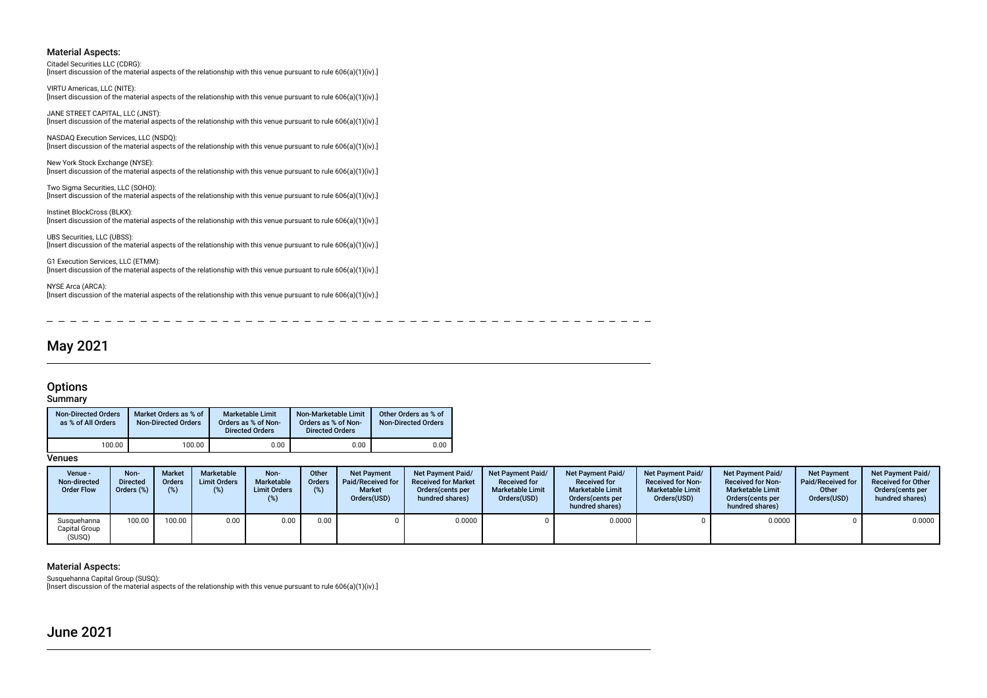#### Material Aspects:

Citadel Securities LLC (CDRG):

[Insert discussion of the material aspects of the relationship with this venue pursuant to rule 606(a)(1)(iv).]

VIRTU Americas, LLC (NITE): [Insert discussion of the material aspects of the relationship with this venue pursuant to rule 606(a)(1)(iv).]

JANE STREET CAPITAL, LLC (JNST): [Insert discussion of the material aspects of the relationship with this venue pursuant to rule 606(a)(1)(iv).]

NASDAQ Execution Services, LLC (NSDQ): [Insert discussion of the material aspects of the relationship with this venue pursuant to rule 606(a)(1)(iv).]

New York Stock Exchange (NYSE): [Insert discussion of the material aspects of the relationship with this venue pursuant to rule 606(a)(1)(iv).]

Two Sigma Securities, LLC (SOHO): [Insert discussion of the material aspects of the relationship with this venue pursuant to rule 606(a)(1)(iv).]

Instinet BlockCross (BLKX): [Insert discussion of the material aspects of the relationship with this venue pursuant to rule 606(a)(1)(iv).]

UBS Securities, LLC (UBSS): [Insert discussion of the material aspects of the relationship with this venue pursuant to rule 606(a)(1)(iv).]

G1 Execution Services, LLC (ETMM): [Insert discussion of the material aspects of the relationship with this venue pursuant to rule 606(a)(1)(iv).]

NYSE Arca (ARCA): [Insert discussion of the material aspects of the relationship with this venue pursuant to rule 606(a)(1)(iv).]

# May 2021

### **Options**

### **Summary**

| <b>Non-Directed Orders</b><br>as % of All Orders | Market Orders as % of<br><b>Non-Directed Orders</b> | <b>Marketable Limit</b><br>Orders as % of Non-<br><b>Directed Orders</b> | Non-Marketable Limit<br>Orders as % of Non-<br><b>Directed Orders</b> | Other Orders as % of<br><b>Non-Directed Orders</b> |
|--------------------------------------------------|-----------------------------------------------------|--------------------------------------------------------------------------|-----------------------------------------------------------------------|----------------------------------------------------|
| 100.00                                           | 100.00                                              | 0.00                                                                     | 0.00                                                                  | 0.00                                               |

**Venues** 

| Venue -<br>Non-directed<br><b>Order Flow</b> | Non-<br><b>Directed</b><br>Orders (%) | <b>Market</b><br>Orders<br>(%) | Marketable<br><b>Limit Orders</b><br>(%) | Non-<br>Marketable<br><b>Limit Orders</b> | Other<br><b>Orders</b> | <b>Net Payment</b><br>Paid/Received for<br><b>Market</b><br>Orders(USD) | <b>Net Payment Paid/</b><br><b>Received for Market</b><br>Orders (cents per<br>hundred shares) | <b>Net Payment Paid/</b><br><b>Received for</b><br><b>Marketable Limit</b><br>Orders(USD) | <b>Net Payment Paid/</b><br><b>Received for</b><br><b>Marketable Limit</b><br>Orders (cents per<br>hundred shares) | <b>Net Payment Paid/</b><br><b>Received for Non-</b><br><b>Marketable Limit</b><br>Orders(USD) | <b>Net Payment Paid/</b><br><b>Received for Non-</b><br><b>Marketable Limit</b><br>Orders cents per<br>hundred shares) | <b>Net Payment</b><br><b>Paid/Received for</b><br>Other<br>Orders(USD) | <b>Net Payment Paid/</b><br><b>Received for Other</b><br>Orders (cents per<br>hundred shares) |
|----------------------------------------------|---------------------------------------|--------------------------------|------------------------------------------|-------------------------------------------|------------------------|-------------------------------------------------------------------------|------------------------------------------------------------------------------------------------|-------------------------------------------------------------------------------------------|--------------------------------------------------------------------------------------------------------------------|------------------------------------------------------------------------------------------------|------------------------------------------------------------------------------------------------------------------------|------------------------------------------------------------------------|-----------------------------------------------------------------------------------------------|
| Susquehanna<br>Capital Group<br>(SUSQ)       | 100.00                                | 100.00                         | 0.00                                     | 0.00                                      | 0.00                   |                                                                         | 0.0000                                                                                         |                                                                                           | 0.0000                                                                                                             |                                                                                                | 0.0000                                                                                                                 |                                                                        | 0.0000                                                                                        |

### Material Aspects:

Susquehanna Capital Group (SUSQ):

[Insert discussion of the material aspects of the relationship with this venue pursuant to rule 606(a)(1)(iv).]

June 2021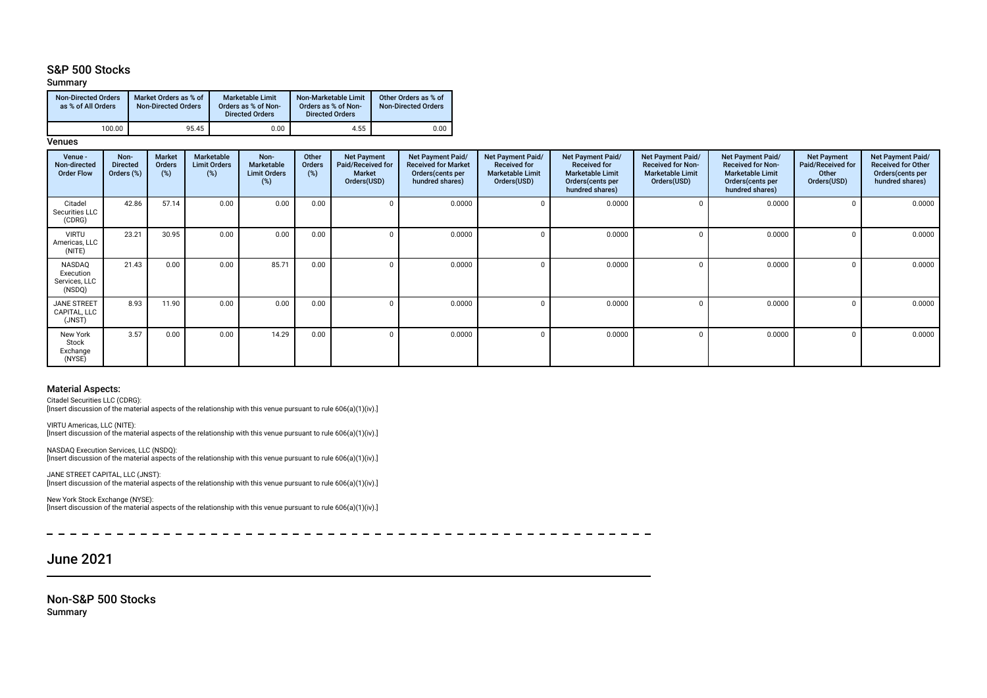### S&P 500 Stocks

### Summary

| <b>Non-Directed Orders</b><br>as % of All Orders | Market Orders as % of<br><b>Non-Directed Orders</b> | <b>Marketable Limit</b><br>Orders as % of Non-<br><b>Directed Orders</b> | Non-Marketable Limit<br>Orders as % of Non-<br><b>Directed Orders</b> | Other Orders as % of<br><b>Non-Directed Orders</b> |
|--------------------------------------------------|-----------------------------------------------------|--------------------------------------------------------------------------|-----------------------------------------------------------------------|----------------------------------------------------|
| 100.00                                           | 95.45                                               | 0.00                                                                     | 4.55                                                                  | 0.00                                               |

#### **Venues**

| Venue -<br>Non-directed<br><b>Order Flow</b>   | Non-<br><b>Directed</b><br>Orders (%) | Market<br><b>Orders</b><br>(%) | <b>Marketable</b><br><b>Limit Orders</b><br>$(\%)$ | Non-<br><b>Marketable</b><br><b>Limit Orders</b><br>(%) | Other<br>Orders<br>(%) | <b>Net Payment</b><br>Paid/Received for<br>Market<br>Orders(USD) | Net Payment Paid/<br><b>Received for Market</b><br>Orders(cents per<br>hundred shares) | Net Payment Paid/<br><b>Received for</b><br><b>Marketable Limit</b><br>Orders(USD) | Net Payment Paid/<br><b>Received for</b><br><b>Marketable Limit</b><br>Orders(cents per<br>hundred shares) | Net Payment Paid/<br><b>Received for Non-</b><br><b>Marketable Limit</b><br>Orders(USD) | Net Payment Paid/<br><b>Received for Non-</b><br><b>Marketable Limit</b><br>Orders (cents per<br>hundred shares) | <b>Net Payment</b><br><b>Paid/Received for</b><br>Other<br>Orders(USD) | Net Payment Paid/<br><b>Received for Other</b><br>Orders(cents per<br>hundred shares) |
|------------------------------------------------|---------------------------------------|--------------------------------|----------------------------------------------------|---------------------------------------------------------|------------------------|------------------------------------------------------------------|----------------------------------------------------------------------------------------|------------------------------------------------------------------------------------|------------------------------------------------------------------------------------------------------------|-----------------------------------------------------------------------------------------|------------------------------------------------------------------------------------------------------------------|------------------------------------------------------------------------|---------------------------------------------------------------------------------------|
| Citadel<br>Securities LLC<br>(CDRG)            | 42.86                                 | 57.14                          | 0.00                                               | 0.00                                                    | 0.00                   |                                                                  | 0.0000                                                                                 |                                                                                    | 0.0000                                                                                                     |                                                                                         | 0.0000                                                                                                           |                                                                        | 0.0000                                                                                |
| <b>VIRTU</b><br>Americas, LLC<br>(NITE)        | 23.21                                 | 30.95                          | 0.00                                               | 0.00                                                    | 0.00                   |                                                                  | 0.0000                                                                                 |                                                                                    | 0.0000                                                                                                     |                                                                                         | 0.0000                                                                                                           |                                                                        | 0.0000                                                                                |
| NASDAQ<br>Execution<br>Services, LLC<br>(NSDQ) | 21.43                                 | 0.00                           | 0.00                                               | 85.71                                                   | 0.00                   |                                                                  | 0.0000                                                                                 |                                                                                    | 0.0000                                                                                                     |                                                                                         | 0.0000                                                                                                           |                                                                        | 0.0000                                                                                |
| JANE STREET<br>CAPITAL, LLC<br>(JNST)          | 8.93                                  | 11.90                          | 0.00                                               | 0.00                                                    | 0.00                   |                                                                  | 0.0000                                                                                 |                                                                                    | 0.0000                                                                                                     |                                                                                         | 0.0000                                                                                                           |                                                                        | 0.0000                                                                                |
| New York<br>Stock<br>Exchange<br>(NYSE)        | 3.57                                  | 0.00                           | 0.00                                               | 14.29                                                   | 0.00                   |                                                                  | 0.0000                                                                                 |                                                                                    | 0.0000                                                                                                     |                                                                                         | 0.0000                                                                                                           |                                                                        | 0.0000                                                                                |

#### Material Aspects:

Citadel Securities LLC (CDRG): [Insert discussion of the material aspects of the relationship with this venue pursuant to rule 606(a)(1)(iv).]

VIRTU Americas, LLC (NITE): [Insert discussion of the material aspects of the relationship with this venue pursuant to rule 606(a)(1)(iv).]

NASDAQ Execution Services, LLC (NSDQ): [Insert discussion of the material aspects of the relationship with this venue pursuant to rule 606(a)(1)(iv).]

JANE STREET CAPITAL, LLC (JNST): [Insert discussion of the material aspects of the relationship with this venue pursuant to rule 606(a)(1)(iv).]

New York Stock Exchange (NYSE): [Insert discussion of the material aspects of the relationship with this venue pursuant to rule 606(a)(1)(iv).]

----------------------- $\equiv$ ----------**Contract**  $\sim$  $- - - - - -$ 

# June 2021

Non-S&P 500 Stocks Summary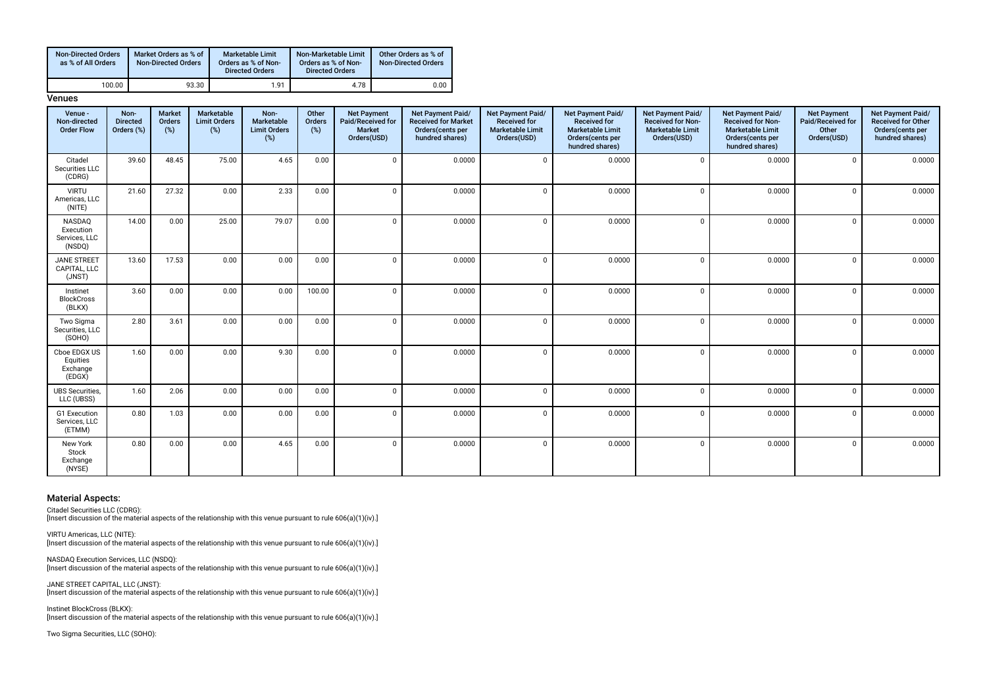| <b>Non-Directed Orders</b><br>as % of All Orders | Market Orders as % of<br><b>Non-Directed Orders</b> | <b>Marketable Limit</b><br>Orders as % of Non-<br><b>Directed Orders</b> | Non-Marketable Limit<br>Orders as % of Non-<br><b>Directed Orders</b> | Other Orders as % of<br><b>Non-Directed Orders</b> |
|--------------------------------------------------|-----------------------------------------------------|--------------------------------------------------------------------------|-----------------------------------------------------------------------|----------------------------------------------------|
| 100.00                                           | 93.30                                               | 1.91                                                                     | 4.78                                                                  | 0.00                                               |

**Venues** 

| Venue -<br>Non-directed<br><b>Order Flow</b>          | Non-<br><b>Directed</b><br>Orders (%) | <b>Market</b><br>Orders<br>(%) | Marketable<br><b>Limit Orders</b><br>(%) | Non-<br>Marketable<br><b>Limit Orders</b><br>(%) | Other<br>Orders<br>(%) | <b>Net Payment</b><br>Paid/Received for<br>Market<br>Orders(USD) | Net Payment Paid/<br><b>Received for Market</b><br>Orders(cents per<br>hundred shares) | Net Payment Paid/<br><b>Received for</b><br><b>Marketable Limit</b><br>Orders(USD) | Net Payment Paid/<br><b>Received for</b><br><b>Marketable Limit</b><br>Orders(cents per<br>hundred shares) | Net Payment Paid/<br><b>Received for Non-</b><br><b>Marketable Limit</b><br>Orders(USD) | Net Payment Paid/<br><b>Received for Non-</b><br><b>Marketable Limit</b><br>Orders(cents per<br>hundred shares) | <b>Net Payment</b><br>Paid/Received for<br>Other<br>Orders(USD) | Net Payment Paid/<br><b>Received for Other</b><br>Orders(cents per<br>hundred shares) |
|-------------------------------------------------------|---------------------------------------|--------------------------------|------------------------------------------|--------------------------------------------------|------------------------|------------------------------------------------------------------|----------------------------------------------------------------------------------------|------------------------------------------------------------------------------------|------------------------------------------------------------------------------------------------------------|-----------------------------------------------------------------------------------------|-----------------------------------------------------------------------------------------------------------------|-----------------------------------------------------------------|---------------------------------------------------------------------------------------|
| Citadel<br>Securities LLC<br>(CDRG)                   | 39.60                                 | 48.45                          | 75.00                                    | 4.65                                             | 0.00                   | $\Omega$                                                         | 0.0000                                                                                 | $\Omega$                                                                           | 0.0000                                                                                                     | $\mathbf{0}$                                                                            | 0.0000                                                                                                          | $\Omega$                                                        | 0.0000                                                                                |
| <b>VIRTU</b><br>Americas, LLC<br>(NITE)               | 21.60                                 | 27.32                          | 0.00                                     | 2.33                                             | 0.00                   | $\Omega$                                                         | 0.0000                                                                                 | $\Omega$                                                                           | 0.0000                                                                                                     | $\Omega$                                                                                | 0.0000                                                                                                          | $\Omega$                                                        | 0.0000                                                                                |
| <b>NASDAQ</b><br>Execution<br>Services, LLC<br>(NSDQ) | 14.00                                 | 0.00                           | 25.00                                    | 79.07                                            | 0.00                   | $\Omega$                                                         | 0.0000                                                                                 | $\Omega$                                                                           | 0.0000                                                                                                     | $\Omega$                                                                                | 0.0000                                                                                                          | $\Omega$                                                        | 0.0000                                                                                |
| <b>JANE STREET</b><br>CAPITAL, LLC<br>(JNST)          | 13.60                                 | 17.53                          | 0.00                                     | 0.00                                             | 0.00                   | $\Omega$                                                         | 0.0000                                                                                 | $\Omega$                                                                           | 0.0000                                                                                                     | $\Omega$                                                                                | 0.0000                                                                                                          | $\Omega$                                                        | 0.0000                                                                                |
| Instinet<br><b>BlockCross</b><br>(BLKX)               | 3.60                                  | 0.00                           | 0.00                                     | 0.00                                             | 100.00                 | $\Omega$                                                         | 0.0000                                                                                 | $\Omega$                                                                           | 0.0000                                                                                                     | $\mathbf 0$                                                                             | 0.0000                                                                                                          | $\mathbf{0}$                                                    | 0.0000                                                                                |
| Two Sigma<br>Securities, LLC<br>(SOHO)                | 2.80                                  | 3.61                           | 0.00                                     | 0.00                                             | 0.00                   | $\Omega$                                                         | 0.0000                                                                                 | $\Omega$                                                                           | 0.0000                                                                                                     | $\Omega$                                                                                | 0.0000                                                                                                          | $\mathbf{0}$                                                    | 0.0000                                                                                |
| Cboe EDGX US<br>Equities<br>Exchange<br>(EDGX)        | 1.60                                  | 0.00                           | 0.00                                     | 9.30                                             | 0.00                   | $\Omega$                                                         | 0.0000                                                                                 | $\Omega$                                                                           | 0.0000                                                                                                     | $\Omega$                                                                                | 0.0000                                                                                                          | $\mathbf{0}$                                                    | 0.0000                                                                                |
| <b>UBS</b> Securities,<br>LLC (UBSS)                  | 1.60                                  | 2.06                           | 0.00                                     | 0.00                                             | 0.00                   | $\Omega$                                                         | 0.0000                                                                                 | $\Omega$                                                                           | 0.0000                                                                                                     | $\Omega$                                                                                | 0.0000                                                                                                          | $\mathbf{0}$                                                    | 0.0000                                                                                |
| G1 Execution<br>Services, LLC<br>(ETMM)               | 0.80                                  | 1.03                           | 0.00                                     | 0.00                                             | 0.00                   | $\Omega$                                                         | 0.0000                                                                                 | $\Omega$                                                                           | 0.0000                                                                                                     | $\Omega$                                                                                | 0.0000                                                                                                          | $\mathbf{0}$                                                    | 0.0000                                                                                |
| New York<br>Stock<br>Exchange<br>(NYSE)               | 0.80                                  | 0.00                           | 0.00                                     | 4.65                                             | 0.00                   | $\Omega$                                                         | 0.0000                                                                                 | $\Omega$                                                                           | 0.0000                                                                                                     | $\mathbf 0$                                                                             | 0.0000                                                                                                          | $\mathbf{0}$                                                    | 0.0000                                                                                |

#### Material Aspects:

Citadel Securities LLC (CDRG):

[Insert discussion of the material aspects of the relationship with this venue pursuant to rule 606(a)(1)(iv).]

VIRTU Americas, LLC (NITE): [Insert discussion of the material aspects of the relationship with this venue pursuant to rule 606(a)(1)(iv).]

NASDAQ Execution Services, LLC (NSDQ): [Insert discussion of the material aspects of the relationship with this venue pursuant to rule 606(a)(1)(iv).]

JANE STREET CAPITAL, LLC (JNST): [Insert discussion of the material aspects of the relationship with this venue pursuant to rule 606(a)(1)(iv).]

Instinet BlockCross (BLKX): [Insert discussion of the material aspects of the relationship with this venue pursuant to rule 606(a)(1)(iv).]

Two Sigma Securities, LLC (SOHO):